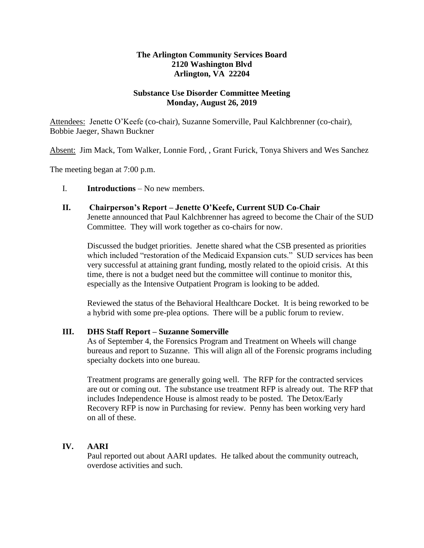# **The Arlington Community Services Board 2120 Washington Blvd Arlington, VA 22204**

# **Substance Use Disorder Committee Meeting Monday, August 26, 2019**

Attendees: Jenette O'Keefe (co-chair), Suzanne Somerville, Paul Kalchbrenner (co-chair), Bobbie Jaeger, Shawn Buckner

Absent: Jim Mack, Tom Walker, Lonnie Ford, , Grant Furick, Tonya Shivers and Wes Sanchez

The meeting began at 7:00 p.m.

# I. **Introductions** – No new members.

# **II. Chairperson's Report – Jenette O'Keefe, Current SUD Co-Chair**

Jenette announced that Paul Kalchbrenner has agreed to become the Chair of the SUD Committee. They will work together as co-chairs for now.

Discussed the budget priorities. Jenette shared what the CSB presented as priorities which included "restoration of the Medicaid Expansion cuts." SUD services has been very successful at attaining grant funding, mostly related to the opioid crisis. At this time, there is not a budget need but the committee will continue to monitor this, especially as the Intensive Outpatient Program is looking to be added.

Reviewed the status of the Behavioral Healthcare Docket. It is being reworked to be a hybrid with some pre-plea options. There will be a public forum to review.

#### **III. DHS Staff Report – Suzanne Somerville**

As of September 4, the Forensics Program and Treatment on Wheels will change bureaus and report to Suzanne. This will align all of the Forensic programs including specialty dockets into one bureau.

Treatment programs are generally going well. The RFP for the contracted services are out or coming out. The substance use treatment RFP is already out. The RFP that includes Independence House is almost ready to be posted. The Detox/Early Recovery RFP is now in Purchasing for review. Penny has been working very hard on all of these.

# **IV. AARI**

Paul reported out about AARI updates. He talked about the community outreach, overdose activities and such.